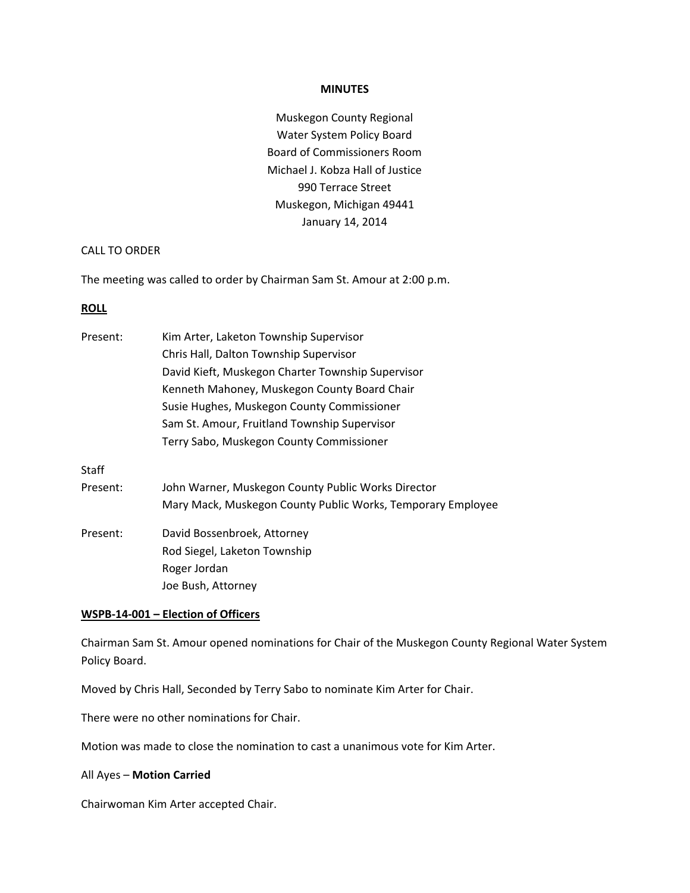#### **MINUTES**

Muskegon County Regional Water System Policy Board Board of Commissioners Room Michael J. Kobza Hall of Justice 990 Terrace Street Muskegon, Michigan 49441 January 14, 2014

# CALL TO ORDER

The meeting was called to order by Chairman Sam St. Amour at 2:00 p.m.

#### **ROLL**

| Present: | Kim Arter, Laketon Township Supervisor                      |
|----------|-------------------------------------------------------------|
|          | Chris Hall, Dalton Township Supervisor                      |
|          | David Kieft, Muskegon Charter Township Supervisor           |
|          | Kenneth Mahoney, Muskegon County Board Chair                |
|          | Susie Hughes, Muskegon County Commissioner                  |
|          | Sam St. Amour, Fruitland Township Supervisor                |
|          | Terry Sabo, Muskegon County Commissioner                    |
| Staff    |                                                             |
| Present: | John Warner, Muskegon County Public Works Director          |
|          | Mary Mack, Muskegon County Public Works, Temporary Employee |
| Present: | David Bossenbroek, Attorney                                 |
|          | Rod Siegel, Laketon Township                                |
|          | Roger Jordan                                                |
|          | Joe Bush, Attorney                                          |

# **WSPB-14-001 – Election of Officers**

Chairman Sam St. Amour opened nominations for Chair of the Muskegon County Regional Water System Policy Board.

Moved by Chris Hall, Seconded by Terry Sabo to nominate Kim Arter for Chair.

There were no other nominations for Chair.

Motion was made to close the nomination to cast a unanimous vote for Kim Arter.

# All Ayes – **Motion Carried**

Chairwoman Kim Arter accepted Chair.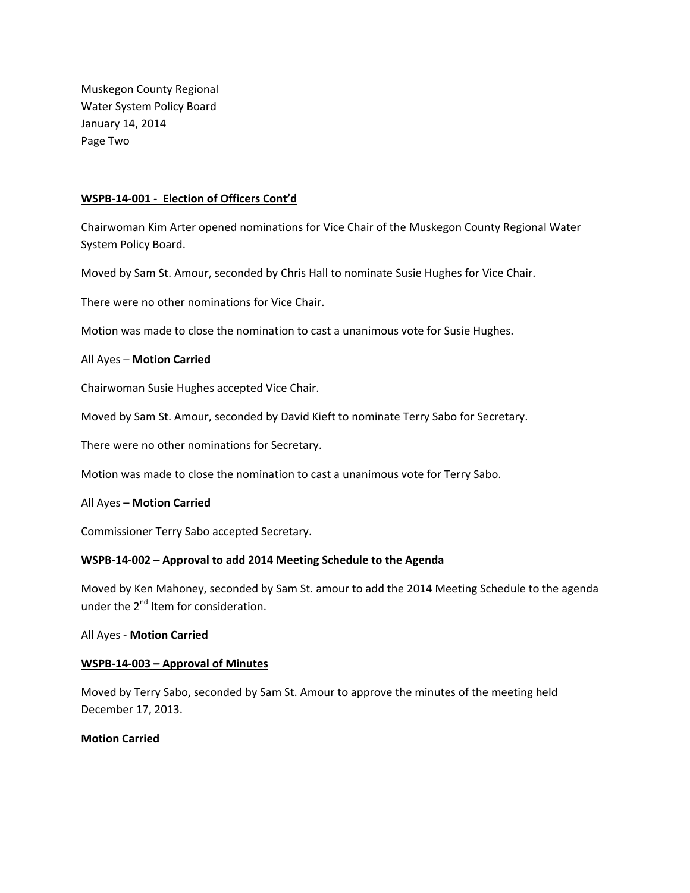Muskegon County Regional Water System Policy Board January 14, 2014 Page Two

# **WSPB-14-001 - Election of Officers Cont'd**

Chairwoman Kim Arter opened nominations for Vice Chair of the Muskegon County Regional Water System Policy Board.

Moved by Sam St. Amour, seconded by Chris Hall to nominate Susie Hughes for Vice Chair.

There were no other nominations for Vice Chair.

Motion was made to close the nomination to cast a unanimous vote for Susie Hughes.

# All Ayes – **Motion Carried**

Chairwoman Susie Hughes accepted Vice Chair.

Moved by Sam St. Amour, seconded by David Kieft to nominate Terry Sabo for Secretary.

There were no other nominations for Secretary.

Motion was made to close the nomination to cast a unanimous vote for Terry Sabo.

# All Ayes – **Motion Carried**

Commissioner Terry Sabo accepted Secretary.

# **WSPB-14-002 – Approval to add 2014 Meeting Schedule to the Agenda**

Moved by Ken Mahoney, seconded by Sam St. amour to add the 2014 Meeting Schedule to the agenda under the  $2^{nd}$  Item for consideration.

# All Ayes - **Motion Carried**

# **WSPB-14-003 – Approval of Minutes**

Moved by Terry Sabo, seconded by Sam St. Amour to approve the minutes of the meeting held December 17, 2013.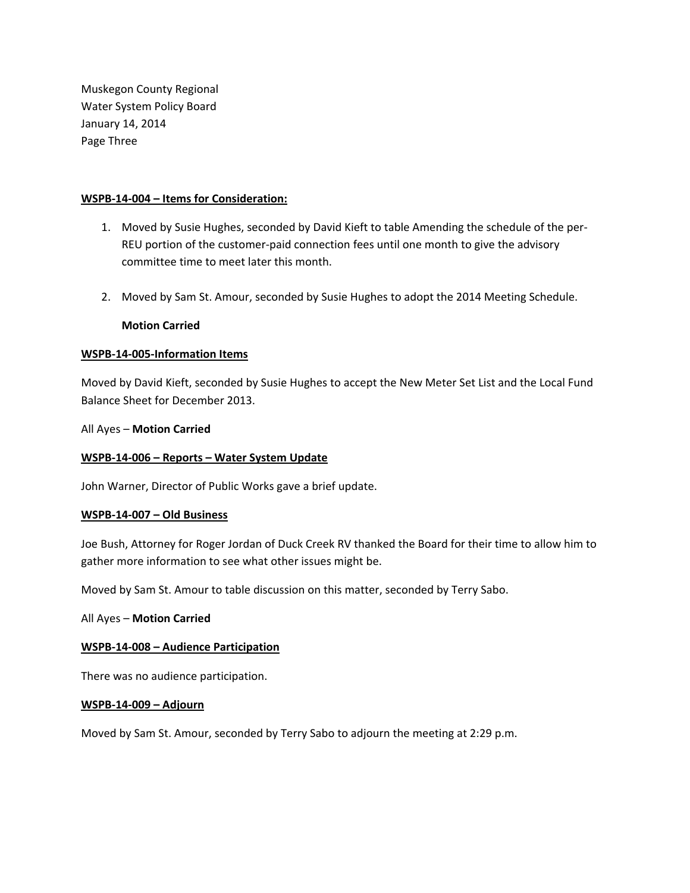Muskegon County Regional Water System Policy Board January 14, 2014 Page Three

# **WSPB-14-004 – Items for Consideration:**

- 1. Moved by Susie Hughes, seconded by David Kieft to table Amending the schedule of the per-REU portion of the customer-paid connection fees until one month to give the advisory committee time to meet later this month.
- 2. Moved by Sam St. Amour, seconded by Susie Hughes to adopt the 2014 Meeting Schedule.

# **Motion Carried**

# **WSPB-14-005-Information Items**

Moved by David Kieft, seconded by Susie Hughes to accept the New Meter Set List and the Local Fund Balance Sheet for December 2013.

# All Ayes – **Motion Carried**

# **WSPB-14-006 – Reports – Water System Update**

John Warner, Director of Public Works gave a brief update.

# **WSPB-14-007 – Old Business**

Joe Bush, Attorney for Roger Jordan of Duck Creek RV thanked the Board for their time to allow him to gather more information to see what other issues might be.

Moved by Sam St. Amour to table discussion on this matter, seconded by Terry Sabo.

# All Ayes – **Motion Carried**

# **WSPB-14-008 – Audience Participation**

There was no audience participation.

# **WSPB-14-009 – Adjourn**

Moved by Sam St. Amour, seconded by Terry Sabo to adjourn the meeting at 2:29 p.m.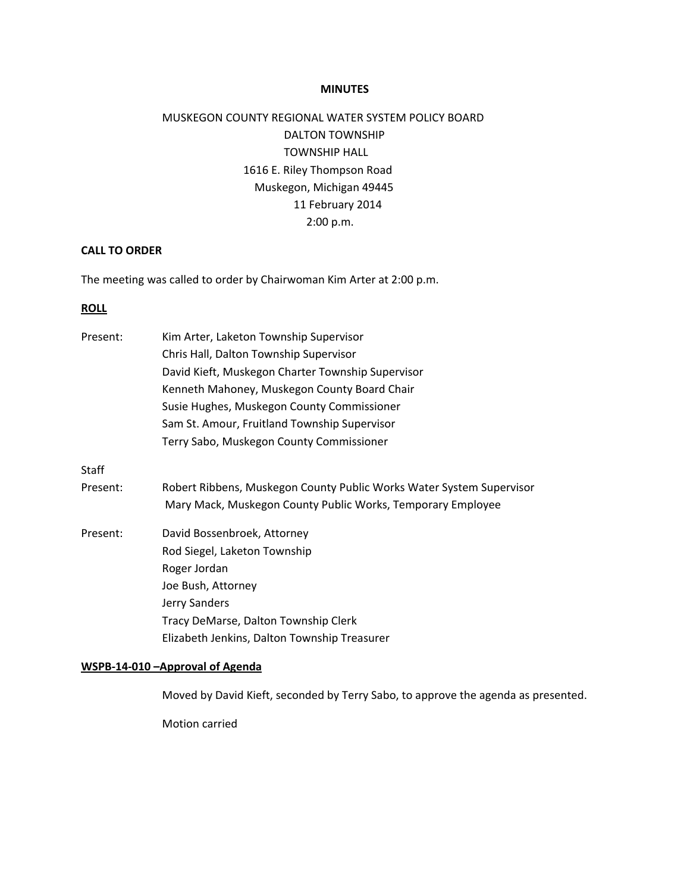#### **MINUTES**

# MUSKEGON COUNTY REGIONAL WATER SYSTEM POLICY BOARD DALTON TOWNSHIP TOWNSHIP HALL 1616 E. Riley Thompson Road Muskegon, Michigan 49445 11 February 2014 2:00 p.m.

# **CALL TO ORDER**

The meeting was called to order by Chairwoman Kim Arter at 2:00 p.m.

#### **ROLL**

| Present: | Kim Arter, Laketon Township Supervisor                               |
|----------|----------------------------------------------------------------------|
|          | Chris Hall, Dalton Township Supervisor                               |
|          | David Kieft, Muskegon Charter Township Supervisor                    |
|          | Kenneth Mahoney, Muskegon County Board Chair                         |
|          | Susie Hughes, Muskegon County Commissioner                           |
|          | Sam St. Amour, Fruitland Township Supervisor                         |
|          | Terry Sabo, Muskegon County Commissioner                             |
| Staff    |                                                                      |
| Present: | Robert Ribbens, Muskegon County Public Works Water System Supervisor |
|          | Mary Mack, Muskegon County Public Works, Temporary Employee          |
| Present: | David Bossenbroek, Attorney                                          |
|          | Rod Siegel, Laketon Township                                         |
|          | Roger Jordan                                                         |
|          | Joe Bush, Attorney                                                   |
|          | Jerry Sanders                                                        |
|          | Tracy DeMarse, Dalton Township Clerk                                 |
|          | Elizabeth Jenkins, Dalton Township Treasurer                         |
|          | WSPB-14-010 - Approval of Agenda                                     |

Moved by David Kieft, seconded by Terry Sabo, to approve the agenda as presented.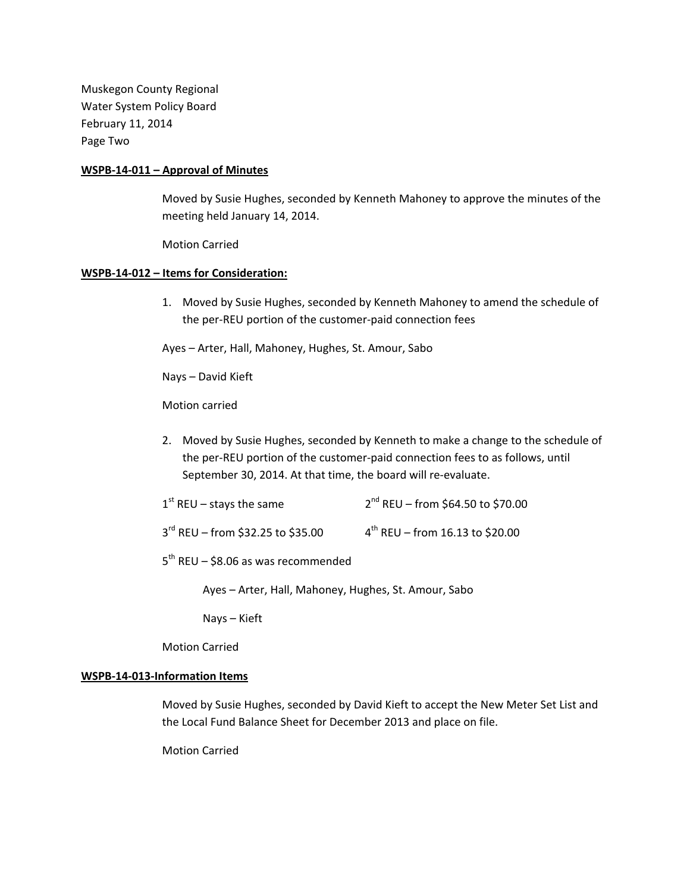Muskegon County Regional Water System Policy Board February 11, 2014 Page Two

# **WSPB-14-011 – Approval of Minutes**

Moved by Susie Hughes, seconded by Kenneth Mahoney to approve the minutes of the meeting held January 14, 2014.

Motion Carried

# **WSPB-14-012 – Items for Consideration:**

1. Moved by Susie Hughes, seconded by Kenneth Mahoney to amend the schedule of the per-REU portion of the customer-paid connection fees

Ayes – Arter, Hall, Mahoney, Hughes, St. Amour, Sabo

Nays – David Kieft

Motion carried

2. Moved by Susie Hughes, seconded by Kenneth to make a change to the schedule of the per-REU portion of the customer-paid connection fees to as follows, until September 30, 2014. At that time, the board will re-evaluate.

| $2^{nd}$ REU – from \$64.50 to \$70.00 |
|----------------------------------------|
|                                        |

 $3^{rd}$  REU – from \$32.25 to \$35.00  $4^{th}$  REU – from 16.13 to \$20.00

 $5<sup>th</sup>$  REU – \$8.06 as was recommended

Ayes – Arter, Hall, Mahoney, Hughes, St. Amour, Sabo

Nays – Kieft

Motion Carried

# **WSPB-14-013-Information Items**

Moved by Susie Hughes, seconded by David Kieft to accept the New Meter Set List and the Local Fund Balance Sheet for December 2013 and place on file.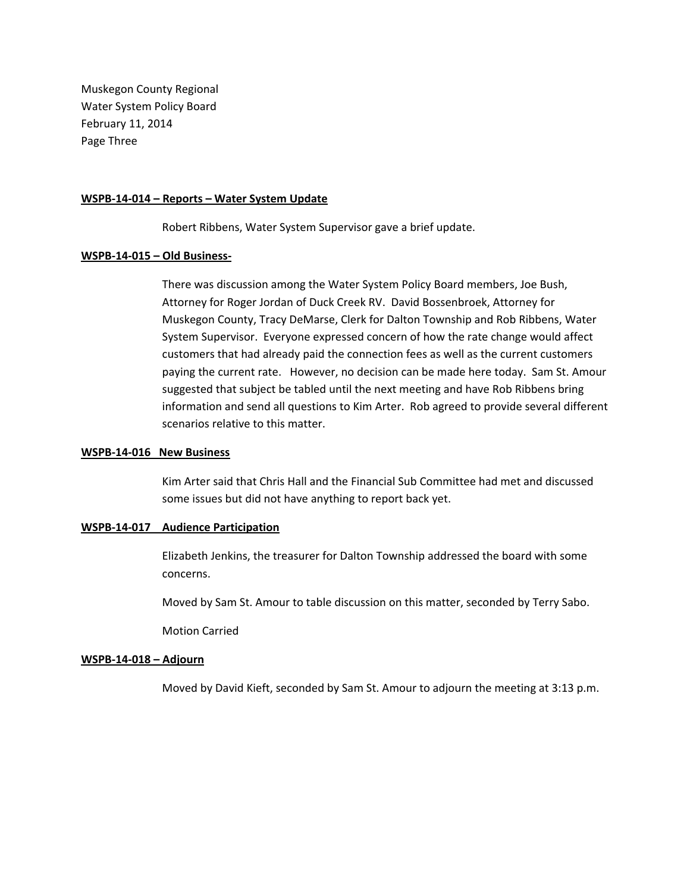Muskegon County Regional Water System Policy Board February 11, 2014 Page Three

#### **WSPB-14-014 – Reports – Water System Update**

Robert Ribbens, Water System Supervisor gave a brief update.

#### **WSPB-14-015 – Old Business-**

There was discussion among the Water System Policy Board members, Joe Bush, Attorney for Roger Jordan of Duck Creek RV. David Bossenbroek, Attorney for Muskegon County, Tracy DeMarse, Clerk for Dalton Township and Rob Ribbens, Water System Supervisor. Everyone expressed concern of how the rate change would affect customers that had already paid the connection fees as well as the current customers paying the current rate. However, no decision can be made here today. Sam St. Amour suggested that subject be tabled until the next meeting and have Rob Ribbens bring information and send all questions to Kim Arter. Rob agreed to provide several different scenarios relative to this matter.

#### **WSPB-14-016 New Business**

Kim Arter said that Chris Hall and the Financial Sub Committee had met and discussed some issues but did not have anything to report back yet.

#### **WSPB-14-017 Audience Participation**

Elizabeth Jenkins, the treasurer for Dalton Township addressed the board with some concerns.

Moved by Sam St. Amour to table discussion on this matter, seconded by Terry Sabo.

Motion Carried

# **WSPB-14-018 – Adjourn**

Moved by David Kieft, seconded by Sam St. Amour to adjourn the meeting at 3:13 p.m.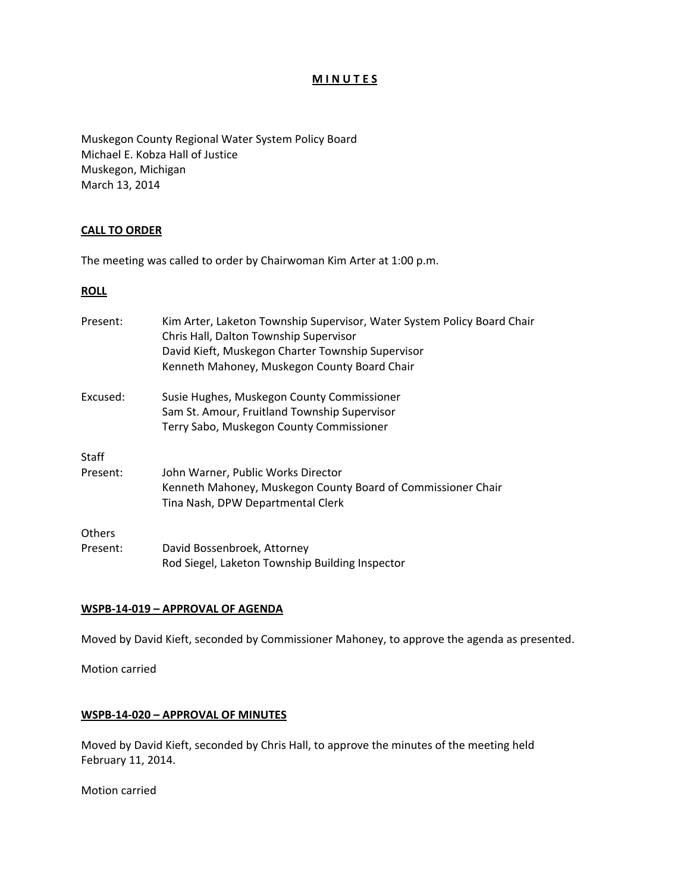# **M I N U T E S**

Muskegon County Regional Water System Policy Board Michael E. Kobza Hall of Justice Muskegon, Michigan March 13, 2014

# **CALL TO ORDER**

The meeting was called to order by Chairwoman Kim Arter at 1:00 p.m.

# **ROLL**

| Present:      | Kim Arter, Laketon Township Supervisor, Water System Policy Board Chair<br>Chris Hall, Dalton Township Supervisor<br>David Kieft, Muskegon Charter Township Supervisor<br>Kenneth Mahoney, Muskegon County Board Chair |
|---------------|------------------------------------------------------------------------------------------------------------------------------------------------------------------------------------------------------------------------|
| Excused:      | Susie Hughes, Muskegon County Commissioner<br>Sam St. Amour, Fruitland Township Supervisor<br>Terry Sabo, Muskegon County Commissioner                                                                                 |
| <b>Staff</b>  |                                                                                                                                                                                                                        |
| Present:      | John Warner, Public Works Director<br>Kenneth Mahoney, Muskegon County Board of Commissioner Chair<br>Tina Nash, DPW Departmental Clerk                                                                                |
| <b>Others</b> |                                                                                                                                                                                                                        |
| Present:      | David Bossenbroek, Attorney<br>Rod Siegel, Laketon Township Building Inspector                                                                                                                                         |

# **WSPB-14-019 – APPROVAL OF AGENDA**

Moved by David Kieft, seconded by Commissioner Mahoney, to approve the agenda as presented.

Motion carried

# **WSPB-14-020 – APPROVAL OF MINUTES**

Moved by David Kieft, seconded by Chris Hall, to approve the minutes of the meeting held February 11, 2014.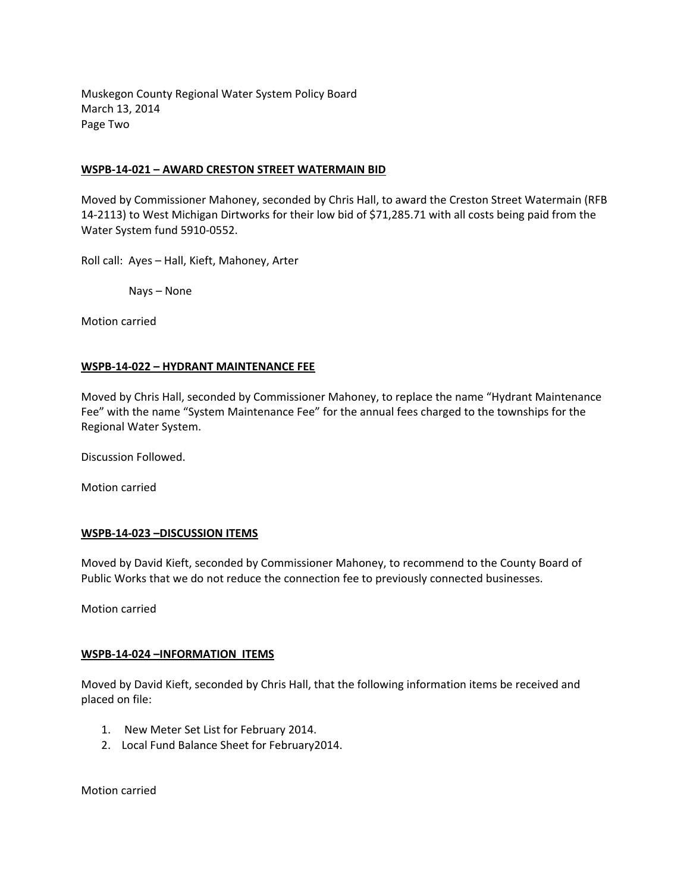Muskegon County Regional Water System Policy Board March 13, 2014 Page Two

# **WSPB-14-021 – AWARD CRESTON STREET WATERMAIN BID**

Moved by Commissioner Mahoney, seconded by Chris Hall, to award the Creston Street Watermain (RFB 14-2113) to West Michigan Dirtworks for their low bid of \$71,285.71 with all costs being paid from the Water System fund 5910-0552.

Roll call: Ayes – Hall, Kieft, Mahoney, Arter

Nays – None

Motion carried

# **WSPB-14-022 – HYDRANT MAINTENANCE FEE**

Moved by Chris Hall, seconded by Commissioner Mahoney, to replace the name "Hydrant Maintenance Fee" with the name "System Maintenance Fee" for the annual fees charged to the townships for the Regional Water System.

Discussion Followed.

Motion carried

# **WSPB-14-023 –DISCUSSION ITEMS**

Moved by David Kieft, seconded by Commissioner Mahoney, to recommend to the County Board of Public Works that we do not reduce the connection fee to previously connected businesses.

Motion carried

# **WSPB-14-024 –INFORMATION ITEMS**

Moved by David Kieft, seconded by Chris Hall, that the following information items be received and placed on file:

- 1. New Meter Set List for February 2014.
- 2. Local Fund Balance Sheet for February2014.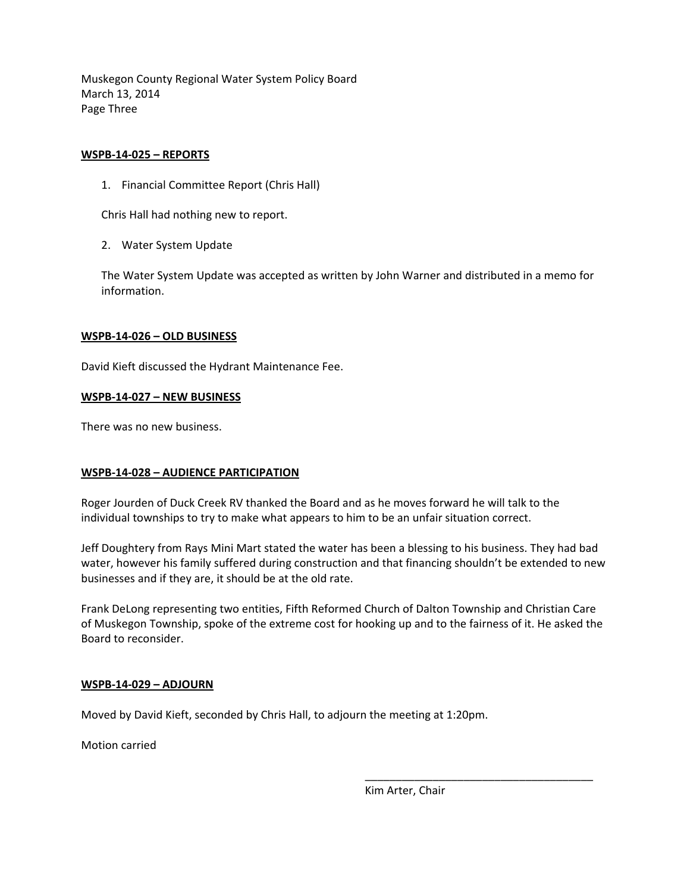Muskegon County Regional Water System Policy Board March 13, 2014 Page Three

# **WSPB-14-025 – REPORTS**

1. Financial Committee Report (Chris Hall)

Chris Hall had nothing new to report.

2. Water System Update

The Water System Update was accepted as written by John Warner and distributed in a memo for information.

# **WSPB-14-026 – OLD BUSINESS**

David Kieft discussed the Hydrant Maintenance Fee.

# **WSPB-14-027 – NEW BUSINESS**

There was no new business.

# **WSPB-14-028 – AUDIENCE PARTICIPATION**

Roger Jourden of Duck Creek RV thanked the Board and as he moves forward he will talk to the individual townships to try to make what appears to him to be an unfair situation correct.

Jeff Doughtery from Rays Mini Mart stated the water has been a blessing to his business. They had bad water, however his family suffered during construction and that financing shouldn't be extended to new businesses and if they are, it should be at the old rate.

Frank DeLong representing two entities, Fifth Reformed Church of Dalton Township and Christian Care of Muskegon Township, spoke of the extreme cost for hooking up and to the fairness of it. He asked the Board to reconsider.

 $\overline{\phantom{a}}$  , and the contract of the contract of the contract of the contract of the contract of the contract of the contract of the contract of the contract of the contract of the contract of the contract of the contrac

# **WSPB-14-029 – ADJOURN**

Moved by David Kieft, seconded by Chris Hall, to adjourn the meeting at 1:20pm.

Motion carried

Kim Arter, Chair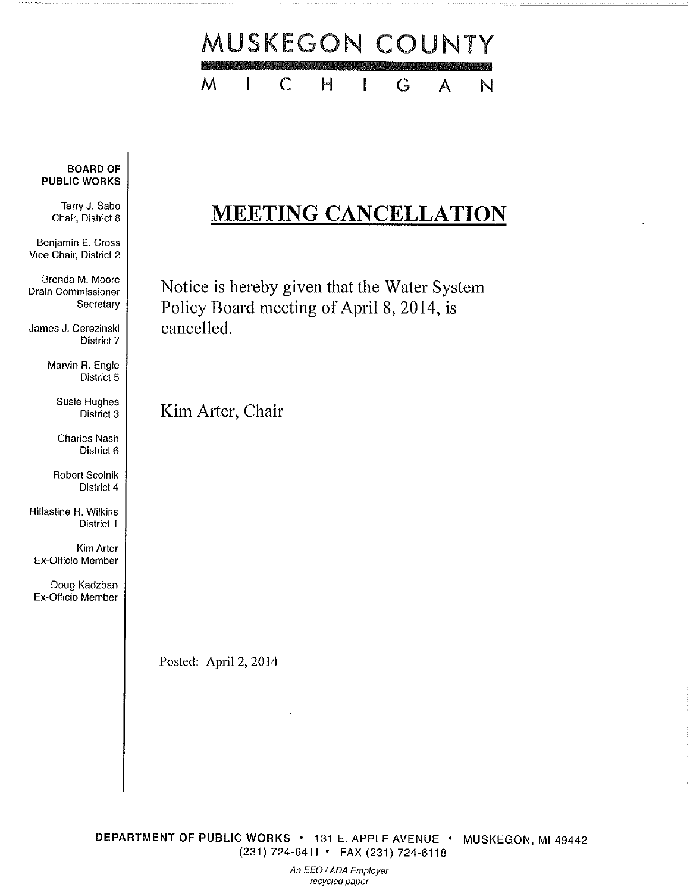

# **BOARD OF PUBLIC WORKS**

Terry J. Sabo Chair, District 8

Benjamin E. Cross Vice Chair, District 2

Brenda M. Moore Drain Commissioner Secretary

James J. Derezinski District 7

> Marvin R. Engle District 5

> > **Susie Hughes** District 3

**Charles Nash** District 6

Robert Scolnik District 4

Rillastine R. Wilkins District 1

Kim Arter Ex-Officio Member

Doug Kadzban Ex-Officio Member

# **MEETING CANCELLATION**

Notice is hereby given that the Water System Policy Board meeting of April 8, 2014, is cancelled.

Kim Arter, Chair

Posted: April 2, 2014

DEPARTMENT OF PUBLIC WORKS · 131 E. APPLE AVENUE · MUSKEGON, MI 49442 (231) 724-6411 • FAX (231) 724-6118

> An EEO / ADA Employer recycled paper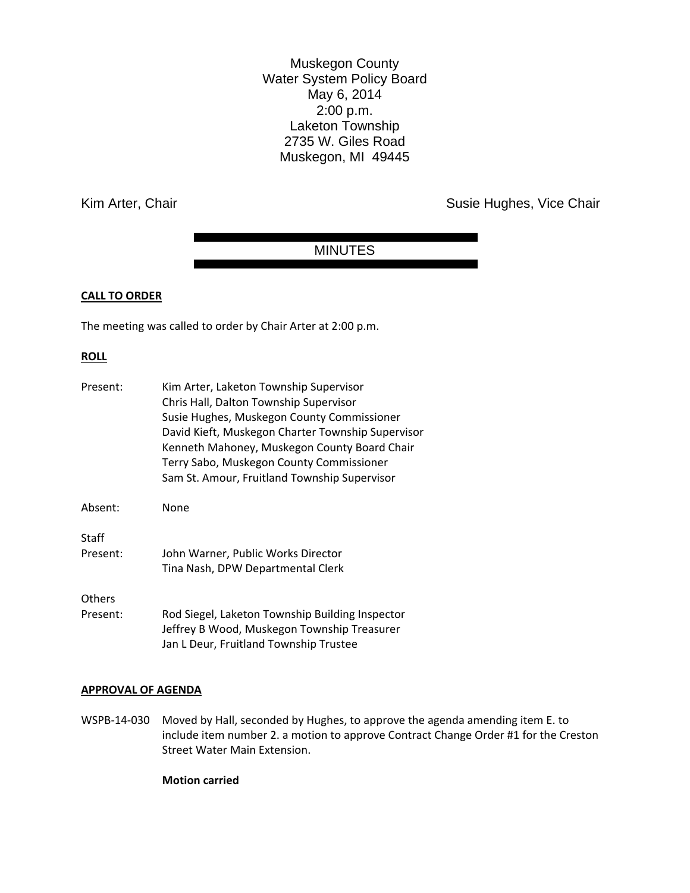Muskegon County Water System Policy Board May 6, 2014 2:00 p.m. Laketon Township 2735 W. Giles Road Muskegon, MI 49445

Kim Arter, Chair **Susie Hughes, Vice Chair** Susie Hughes, Vice Chair

# MINUTES

# **CALL TO ORDER**

The meeting was called to order by Chair Arter at 2:00 p.m.

#### **ROLL**

| Present:      | Kim Arter, Laketon Township Supervisor<br>Chris Hall, Dalton Township Supervisor<br>Susie Hughes, Muskegon County Commissioner<br>David Kieft, Muskegon Charter Township Supervisor<br>Kenneth Mahoney, Muskegon County Board Chair<br>Terry Sabo, Muskegon County Commissioner |
|---------------|---------------------------------------------------------------------------------------------------------------------------------------------------------------------------------------------------------------------------------------------------------------------------------|
|               | Sam St. Amour, Fruitland Township Supervisor                                                                                                                                                                                                                                    |
| Absent:       | None                                                                                                                                                                                                                                                                            |
| Staff         |                                                                                                                                                                                                                                                                                 |
| Present:      | John Warner, Public Works Director                                                                                                                                                                                                                                              |
|               | Tina Nash, DPW Departmental Clerk                                                                                                                                                                                                                                               |
| <b>Others</b> |                                                                                                                                                                                                                                                                                 |
| Present:      | Rod Siegel, Laketon Township Building Inspector<br>Jeffrey B Wood, Muskegon Township Treasurer<br>Jan L Deur, Fruitland Township Trustee                                                                                                                                        |

# **APPROVAL OF AGENDA**

WSPB-14-030 Moved by Hall, seconded by Hughes, to approve the agenda amending item E. to include item number 2. a motion to approve Contract Change Order #1 for the Creston Street Water Main Extension.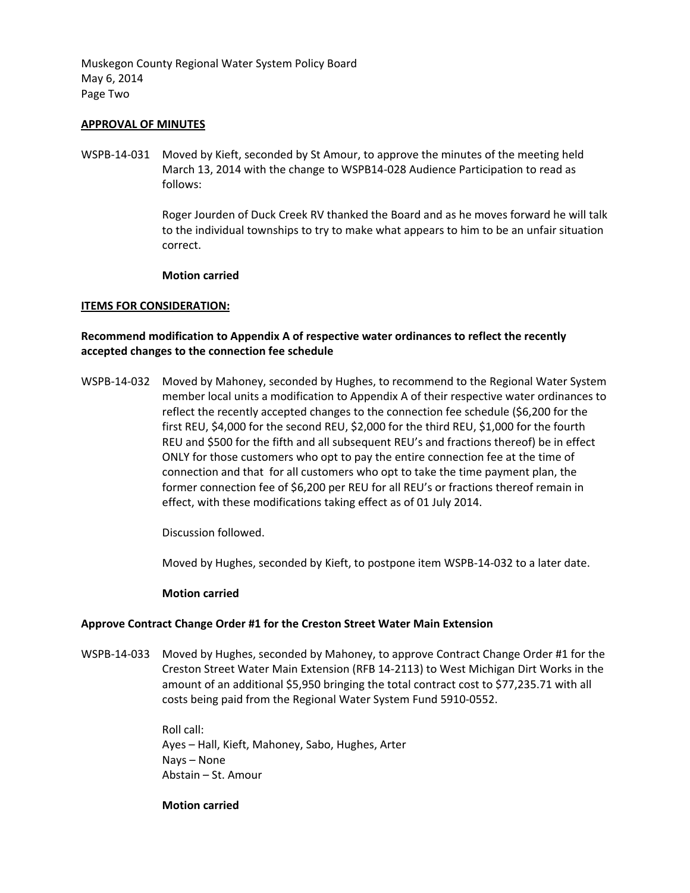Muskegon County Regional Water System Policy Board May 6, 2014 Page Two

# **APPROVAL OF MINUTES**

WSPB-14-031 Moved by Kieft, seconded by St Amour, to approve the minutes of the meeting held March 13, 2014 with the change to WSPB14-028 Audience Participation to read as follows:

> Roger Jourden of Duck Creek RV thanked the Board and as he moves forward he will talk to the individual townships to try to make what appears to him to be an unfair situation correct.

# **Motion carried**

# **ITEMS FOR CONSIDERATION:**

# **Recommend modification to Appendix A of respective water ordinances to reflect the recently accepted changes to the connection fee schedule**

WSPB-14-032 Moved by Mahoney, seconded by Hughes, to recommend to the Regional Water System member local units a modification to Appendix A of their respective water ordinances to reflect the recently accepted changes to the connection fee schedule (\$6,200 for the first REU, \$4,000 for the second REU, \$2,000 for the third REU, \$1,000 for the fourth REU and \$500 for the fifth and all subsequent REU's and fractions thereof) be in effect ONLY for those customers who opt to pay the entire connection fee at the time of connection and that for all customers who opt to take the time payment plan, the former connection fee of \$6,200 per REU for all REU's or fractions thereof remain in effect, with these modifications taking effect as of 01 July 2014.

Discussion followed.

Moved by Hughes, seconded by Kieft, to postpone item WSPB-14-032 to a later date.

# **Motion carried**

# **Approve Contract Change Order #1 for the Creston Street Water Main Extension**

WSPB-14-033 Moved by Hughes, seconded by Mahoney, to approve Contract Change Order #1 for the Creston Street Water Main Extension (RFB 14-2113) to West Michigan Dirt Works in the amount of an additional \$5,950 bringing the total contract cost to \$77,235.71 with all costs being paid from the Regional Water System Fund 5910-0552.

> Roll call: Ayes – Hall, Kieft, Mahoney, Sabo, Hughes, Arter Nays – None Abstain – St. Amour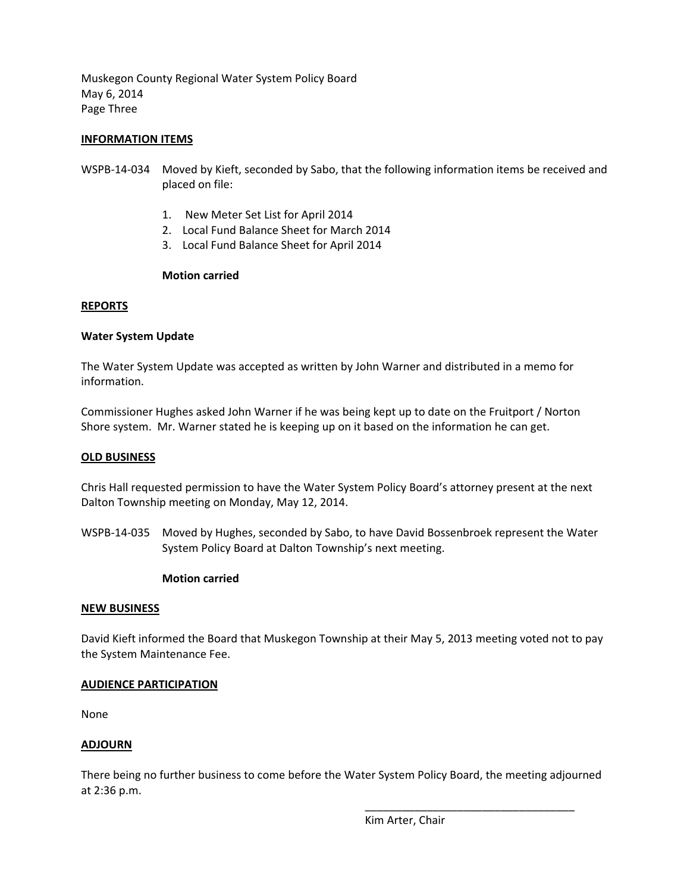Muskegon County Regional Water System Policy Board May 6, 2014 Page Three

# **INFORMATION ITEMS**

- WSPB-14-034 Moved by Kieft, seconded by Sabo, that the following information items be received and placed on file:
	- 1. New Meter Set List for April 2014
	- 2. Local Fund Balance Sheet for March 2014
	- 3. Local Fund Balance Sheet for April 2014

# **Motion carried**

#### **REPORTS**

# **Water System Update**

The Water System Update was accepted as written by John Warner and distributed in a memo for information.

Commissioner Hughes asked John Warner if he was being kept up to date on the Fruitport / Norton Shore system. Mr. Warner stated he is keeping up on it based on the information he can get.

#### **OLD BUSINESS**

Chris Hall requested permission to have the Water System Policy Board's attorney present at the next Dalton Township meeting on Monday, May 12, 2014.

WSPB-14-035 Moved by Hughes, seconded by Sabo, to have David Bossenbroek represent the Water System Policy Board at Dalton Township's next meeting.

# **Motion carried**

#### **NEW BUSINESS**

David Kieft informed the Board that Muskegon Township at their May 5, 2013 meeting voted not to pay the System Maintenance Fee.

# **AUDIENCE PARTICIPATION**

None

# **ADJOURN**

There being no further business to come before the Water System Policy Board, the meeting adjourned at 2:36 p.m.

Kim Arter, Chair

\_\_\_\_\_\_\_\_\_\_\_\_\_\_\_\_\_\_\_\_\_\_\_\_\_\_\_\_\_\_\_\_\_\_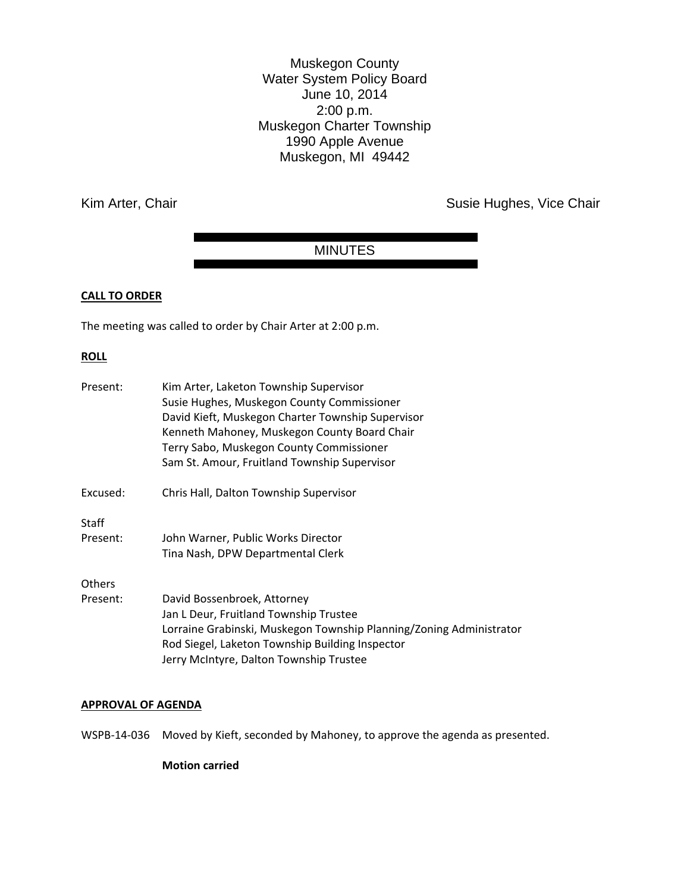Muskegon County Water System Policy Board June 10, 2014 2:00 p.m. Muskegon Charter Township 1990 Apple Avenue Muskegon, MI 49442

Kim Arter, Chair **Susie Hughes, Vice Chair** Susie Hughes, Vice Chair

# MINUTES

# **CALL TO ORDER**

The meeting was called to order by Chair Arter at 2:00 p.m.

#### **ROLL**

| Present: | Kim Arter, Laketon Township Supervisor                              |
|----------|---------------------------------------------------------------------|
|          | Susie Hughes, Muskegon County Commissioner                          |
|          | David Kieft, Muskegon Charter Township Supervisor                   |
|          | Kenneth Mahoney, Muskegon County Board Chair                        |
|          | Terry Sabo, Muskegon County Commissioner                            |
|          | Sam St. Amour, Fruitland Township Supervisor                        |
| Excused: | Chris Hall, Dalton Township Supervisor                              |
| Staff    |                                                                     |
| Present: | John Warner, Public Works Director                                  |
|          | Tina Nash, DPW Departmental Clerk                                   |
| Others   |                                                                     |
| Present: | David Bossenbroek, Attorney                                         |
|          | Jan L Deur, Fruitland Township Trustee                              |
|          | Lorraine Grabinski, Muskegon Township Planning/Zoning Administrator |
|          | Rod Siegel, Laketon Township Building Inspector                     |
|          | Jerry McIntyre, Dalton Township Trustee                             |
|          |                                                                     |

#### **APPROVAL OF AGENDA**

WSPB-14-036 Moved by Kieft, seconded by Mahoney, to approve the agenda as presented.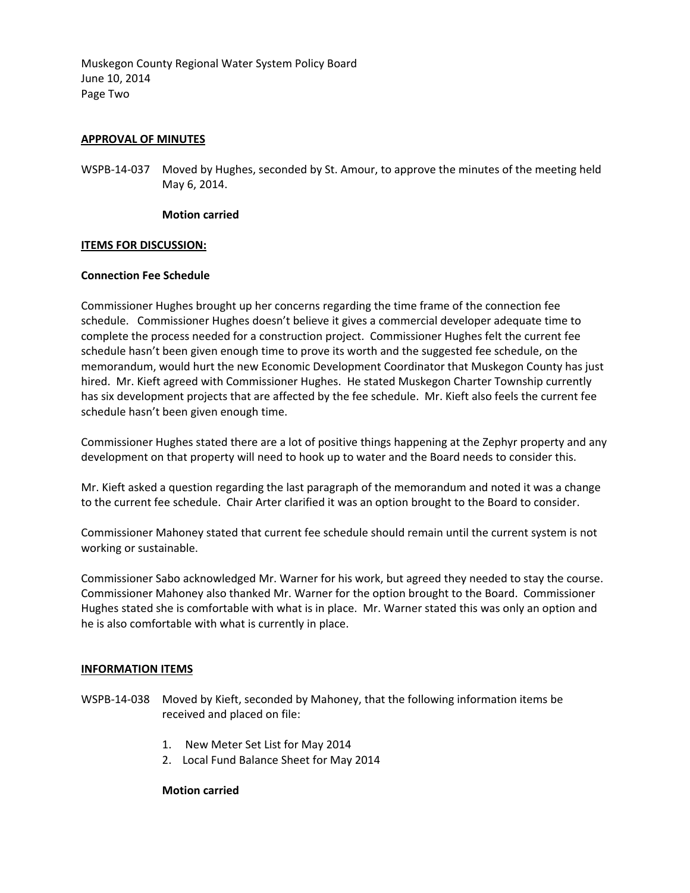Muskegon County Regional Water System Policy Board June 10, 2014 Page Two

# **APPROVAL OF MINUTES**

WSPB-14-037 Moved by Hughes, seconded by St. Amour, to approve the minutes of the meeting held May 6, 2014.

#### **Motion carried**

# **ITEMS FOR DISCUSSION:**

#### **Connection Fee Schedule**

Commissioner Hughes brought up her concerns regarding the time frame of the connection fee schedule. Commissioner Hughes doesn't believe it gives a commercial developer adequate time to complete the process needed for a construction project. Commissioner Hughes felt the current fee schedule hasn't been given enough time to prove its worth and the suggested fee schedule, on the memorandum, would hurt the new Economic Development Coordinator that Muskegon County has just hired. Mr. Kieft agreed with Commissioner Hughes. He stated Muskegon Charter Township currently has six development projects that are affected by the fee schedule. Mr. Kieft also feels the current fee schedule hasn't been given enough time.

Commissioner Hughes stated there are a lot of positive things happening at the Zephyr property and any development on that property will need to hook up to water and the Board needs to consider this.

Mr. Kieft asked a question regarding the last paragraph of the memorandum and noted it was a change to the current fee schedule. Chair Arter clarified it was an option brought to the Board to consider.

Commissioner Mahoney stated that current fee schedule should remain until the current system is not working or sustainable.

Commissioner Sabo acknowledged Mr. Warner for his work, but agreed they needed to stay the course. Commissioner Mahoney also thanked Mr. Warner for the option brought to the Board. Commissioner Hughes stated she is comfortable with what is in place. Mr. Warner stated this was only an option and he is also comfortable with what is currently in place.

# **INFORMATION ITEMS**

- WSPB-14-038 Moved by Kieft, seconded by Mahoney, that the following information items be received and placed on file:
	- 1. New Meter Set List for May 2014
	- 2. Local Fund Balance Sheet for May 2014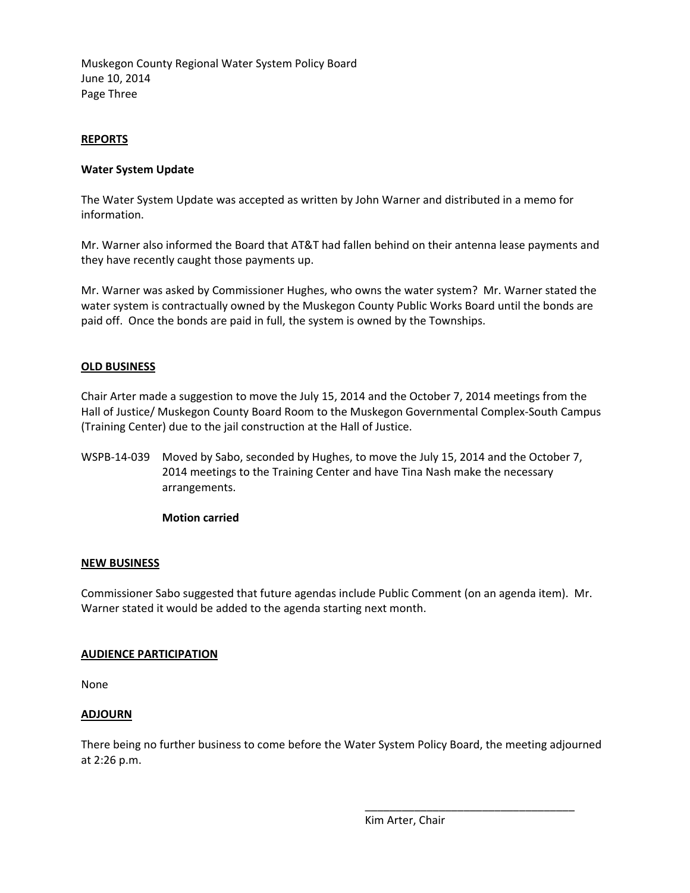Muskegon County Regional Water System Policy Board June 10, 2014 Page Three

# **REPORTS**

# **Water System Update**

The Water System Update was accepted as written by John Warner and distributed in a memo for information.

Mr. Warner also informed the Board that AT&T had fallen behind on their antenna lease payments and they have recently caught those payments up.

Mr. Warner was asked by Commissioner Hughes, who owns the water system? Mr. Warner stated the water system is contractually owned by the Muskegon County Public Works Board until the bonds are paid off. Once the bonds are paid in full, the system is owned by the Townships.

# **OLD BUSINESS**

Chair Arter made a suggestion to move the July 15, 2014 and the October 7, 2014 meetings from the Hall of Justice/ Muskegon County Board Room to the Muskegon Governmental Complex-South Campus (Training Center) due to the jail construction at the Hall of Justice.

WSPB-14-039 Moved by Sabo, seconded by Hughes, to move the July 15, 2014 and the October 7, 2014 meetings to the Training Center and have Tina Nash make the necessary arrangements.

# **Motion carried**

# **NEW BUSINESS**

Commissioner Sabo suggested that future agendas include Public Comment (on an agenda item). Mr. Warner stated it would be added to the agenda starting next month.

# **AUDIENCE PARTICIPATION**

None

# **ADJOURN**

There being no further business to come before the Water System Policy Board, the meeting adjourned at 2:26 p.m.

Kim Arter, Chair

\_\_\_\_\_\_\_\_\_\_\_\_\_\_\_\_\_\_\_\_\_\_\_\_\_\_\_\_\_\_\_\_\_\_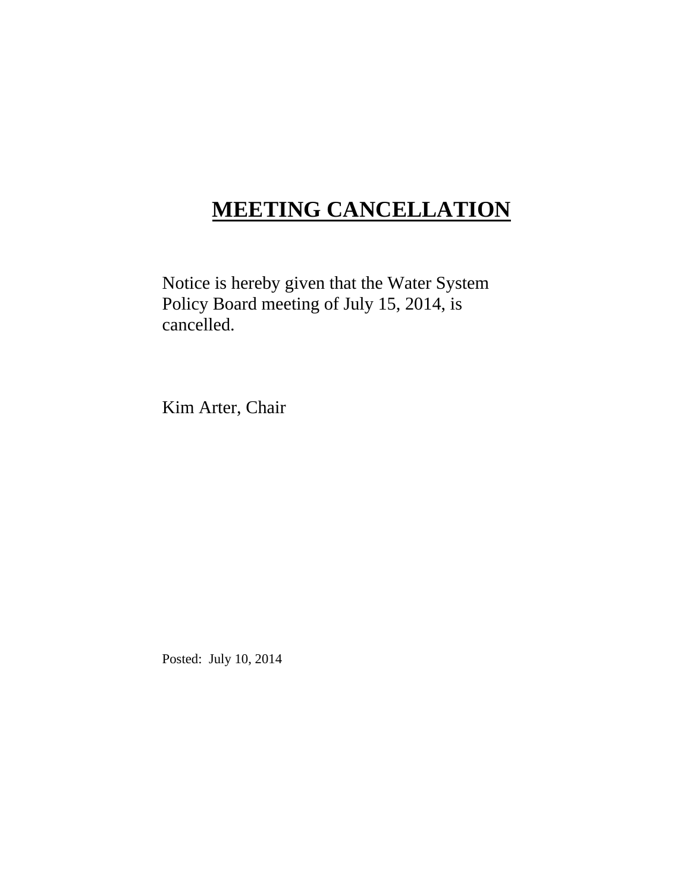# **MEETING CANCELLATION**

Notice is hereby given that the Water System Policy Board meeting of July 15, 2014, is cancelled.

Kim Arter, Chair

Posted: July 10, 2014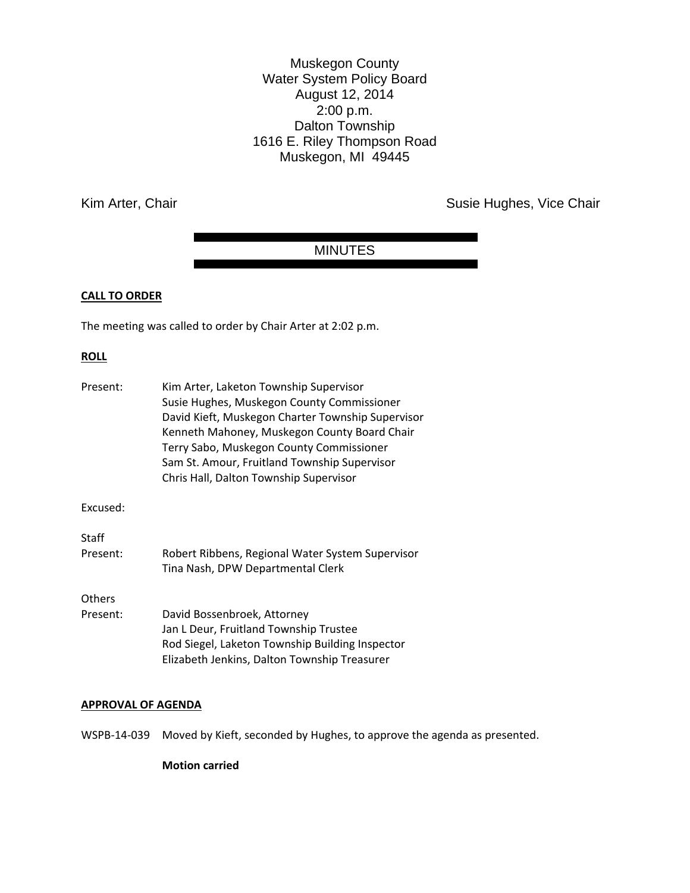Muskegon County Water System Policy Board August 12, 2014 2:00 p.m. Dalton Township 1616 E. Riley Thompson Road Muskegon, MI 49445

Kim Arter, Chair **Susie Hughes, Vice Chair** Susie Hughes, Vice Chair

# MINUTES

# **CALL TO ORDER**

The meeting was called to order by Chair Arter at 2:02 p.m.

# **ROLL**

| Kim Arter, Laketon Township Supervisor<br>Susie Hughes, Muskegon County Commissioner<br>David Kieft, Muskegon Charter Township Supervisor<br>Kenneth Mahoney, Muskegon County Board Chair<br>Terry Sabo, Muskegon County Commissioner<br>Sam St. Amour, Fruitland Township Supervisor<br>Chris Hall, Dalton Township Supervisor |
|---------------------------------------------------------------------------------------------------------------------------------------------------------------------------------------------------------------------------------------------------------------------------------------------------------------------------------|
|                                                                                                                                                                                                                                                                                                                                 |
|                                                                                                                                                                                                                                                                                                                                 |
| Robert Ribbens, Regional Water System Supervisor<br>Tina Nash, DPW Departmental Clerk                                                                                                                                                                                                                                           |
|                                                                                                                                                                                                                                                                                                                                 |
| David Bossenbroek, Attorney<br>Jan L Deur, Fruitland Township Trustee<br>Rod Siegel, Laketon Township Building Inspector<br>Elizabeth Jenkins, Dalton Township Treasurer                                                                                                                                                        |
|                                                                                                                                                                                                                                                                                                                                 |

#### **APPROVAL OF AGENDA**

WSPB-14-039 Moved by Kieft, seconded by Hughes, to approve the agenda as presented.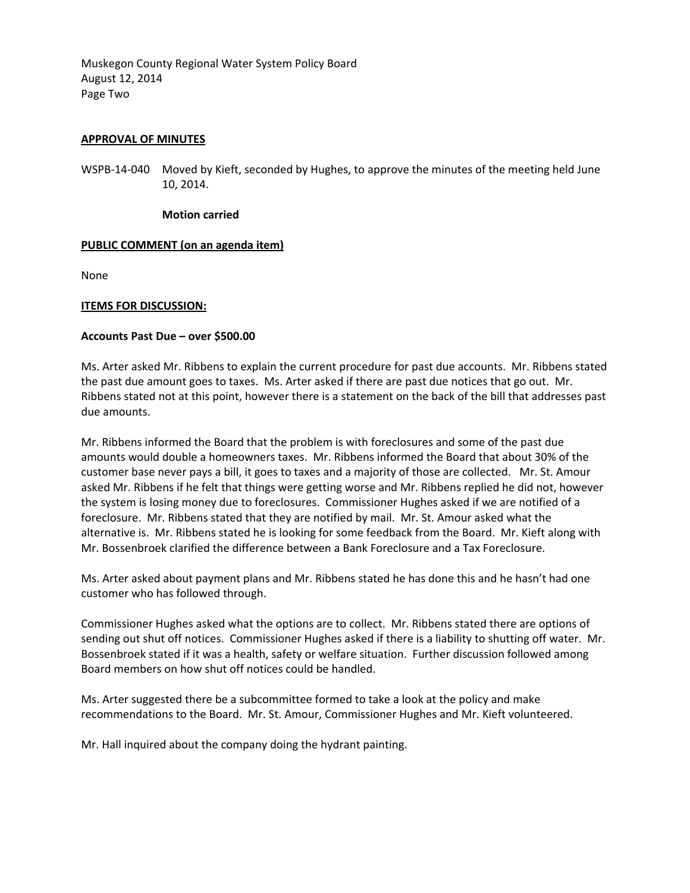Muskegon County Regional Water System Policy Board August 12, 2014 Page Two

# **APPROVAL OF MINUTES**

WSPB-14-040 Moved by Kieft, seconded by Hughes, to approve the minutes of the meeting held June 10, 2014.

#### **Motion carried**

# **PUBLIC COMMENT (on an agenda item)**

None

# **ITEMS FOR DISCUSSION:**

# **Accounts Past Due – over \$500.00**

Ms. Arter asked Mr. Ribbens to explain the current procedure for past due accounts. Mr. Ribbens stated the past due amount goes to taxes. Ms. Arter asked if there are past due notices that go out. Mr. Ribbens stated not at this point, however there is a statement on the back of the bill that addresses past due amounts.

Mr. Ribbens informed the Board that the problem is with foreclosures and some of the past due amounts would double a homeowners taxes. Mr. Ribbens informed the Board that about 30% of the customer base never pays a bill, it goes to taxes and a majority of those are collected. Mr. St. Amour asked Mr. Ribbens if he felt that things were getting worse and Mr. Ribbens replied he did not, however the system is losing money due to foreclosures. Commissioner Hughes asked if we are notified of a foreclosure. Mr. Ribbens stated that they are notified by mail. Mr. St. Amour asked what the alternative is. Mr. Ribbens stated he is looking for some feedback from the Board. Mr. Kieft along with Mr. Bossenbroek clarified the difference between a Bank Foreclosure and a Tax Foreclosure.

Ms. Arter asked about payment plans and Mr. Ribbens stated he has done this and he hasn't had one customer who has followed through.

Commissioner Hughes asked what the options are to collect. Mr. Ribbens stated there are options of sending out shut off notices. Commissioner Hughes asked if there is a liability to shutting off water. Mr. Bossenbroek stated if it was a health, safety or welfare situation. Further discussion followed among Board members on how shut off notices could be handled.

Ms. Arter suggested there be a subcommittee formed to take a look at the policy and make recommendations to the Board. Mr. St. Amour, Commissioner Hughes and Mr. Kieft volunteered.

Mr. Hall inquired about the company doing the hydrant painting.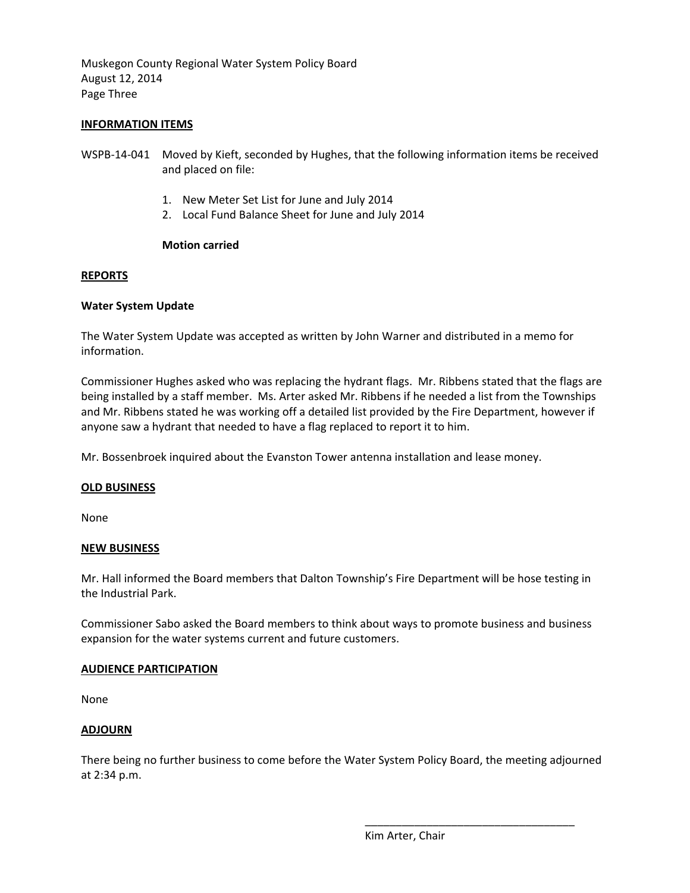Muskegon County Regional Water System Policy Board August 12, 2014 Page Three

# **INFORMATION ITEMS**

- WSPB-14-041 Moved by Kieft, seconded by Hughes, that the following information items be received and placed on file:
	- 1. New Meter Set List for June and July 2014
	- 2. Local Fund Balance Sheet for June and July 2014

# **Motion carried**

# **REPORTS**

# **Water System Update**

The Water System Update was accepted as written by John Warner and distributed in a memo for information.

Commissioner Hughes asked who was replacing the hydrant flags. Mr. Ribbens stated that the flags are being installed by a staff member. Ms. Arter asked Mr. Ribbens if he needed a list from the Townships and Mr. Ribbens stated he was working off a detailed list provided by the Fire Department, however if anyone saw a hydrant that needed to have a flag replaced to report it to him.

Mr. Bossenbroek inquired about the Evanston Tower antenna installation and lease money.

# **OLD BUSINESS**

None

# **NEW BUSINESS**

Mr. Hall informed the Board members that Dalton Township's Fire Department will be hose testing in the Industrial Park.

Commissioner Sabo asked the Board members to think about ways to promote business and business expansion for the water systems current and future customers.

# **AUDIENCE PARTICIPATION**

None

# **ADJOURN**

There being no further business to come before the Water System Policy Board, the meeting adjourned at 2:34 p.m.

Kim Arter, Chair

\_\_\_\_\_\_\_\_\_\_\_\_\_\_\_\_\_\_\_\_\_\_\_\_\_\_\_\_\_\_\_\_\_\_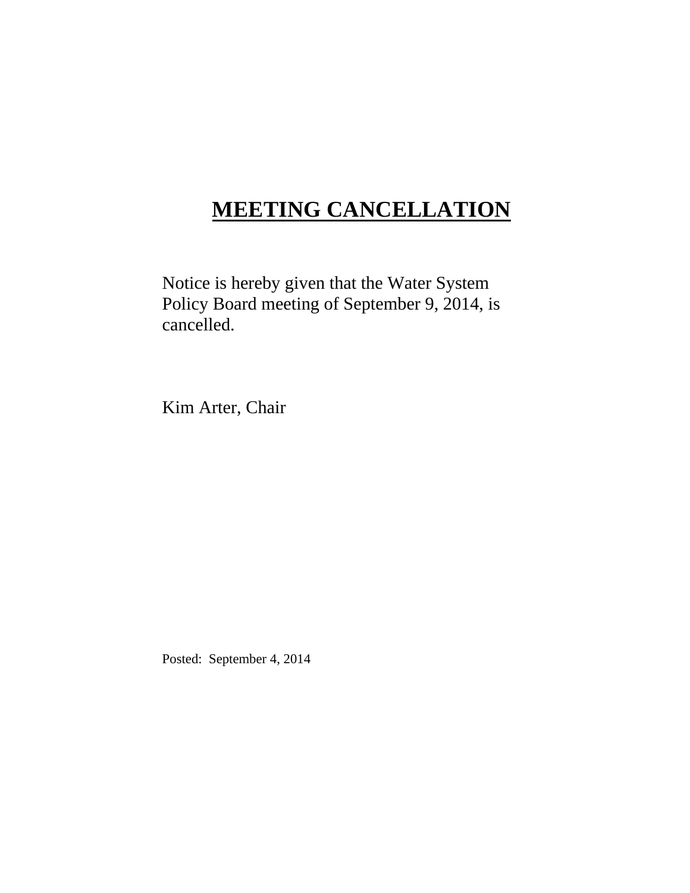# **MEETING CANCELLATION**

Notice is hereby given that the Water System Policy Board meeting of September 9, 2014, is cancelled.

Kim Arter, Chair

Posted: September 4, 2014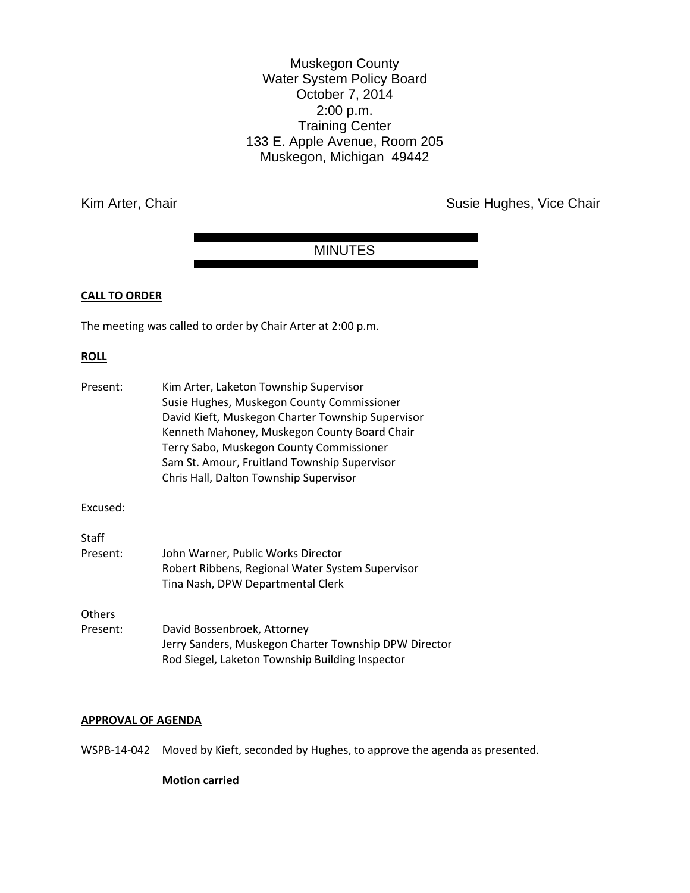Muskegon County Water System Policy Board October 7, 2014 2:00 p.m. Training Center 133 E. Apple Avenue, Room 205 Muskegon, Michigan 49442

Kim Arter, Chair **Susie Hughes, Vice Chair** Susie Hughes, Vice Chair

# MINUTES

# **CALL TO ORDER**

The meeting was called to order by Chair Arter at 2:00 p.m.

#### **ROLL**

| Present:           | Kim Arter, Laketon Township Supervisor<br>Susie Hughes, Muskegon County Commissioner<br>David Kieft, Muskegon Charter Township Supervisor<br>Kenneth Mahoney, Muskegon County Board Chair<br>Terry Sabo, Muskegon County Commissioner<br>Sam St. Amour, Fruitland Township Supervisor<br>Chris Hall, Dalton Township Supervisor |
|--------------------|---------------------------------------------------------------------------------------------------------------------------------------------------------------------------------------------------------------------------------------------------------------------------------------------------------------------------------|
| Excused:           |                                                                                                                                                                                                                                                                                                                                 |
| Staff<br>Present:  | John Warner, Public Works Director<br>Robert Ribbens, Regional Water System Supervisor<br>Tina Nash, DPW Departmental Clerk                                                                                                                                                                                                     |
| Others<br>Present: | David Bossenbroek, Attorney<br>Jerry Sanders, Muskegon Charter Township DPW Director<br>Rod Siegel, Laketon Township Building Inspector                                                                                                                                                                                         |

#### **APPROVAL OF AGENDA**

WSPB-14-042 Moved by Kieft, seconded by Hughes, to approve the agenda as presented.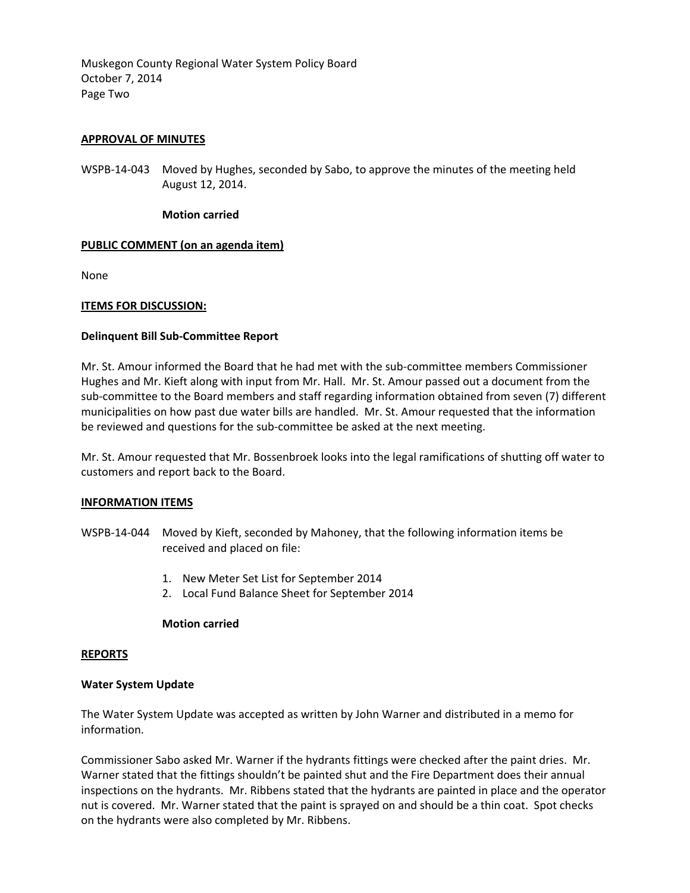Muskegon County Regional Water System Policy Board October 7, 2014 Page Two

# **APPROVAL OF MINUTES**

WSPB-14-043 Moved by Hughes, seconded by Sabo, to approve the minutes of the meeting held August 12, 2014.

#### **Motion carried**

# **PUBLIC COMMENT (on an agenda item)**

None

# **ITEMS FOR DISCUSSION:**

#### **Delinquent Bill Sub-Committee Report**

Mr. St. Amour informed the Board that he had met with the sub-committee members Commissioner Hughes and Mr. Kieft along with input from Mr. Hall. Mr. St. Amour passed out a document from the sub-committee to the Board members and staff regarding information obtained from seven (7) different municipalities on how past due water bills are handled. Mr. St. Amour requested that the information be reviewed and questions for the sub-committee be asked at the next meeting.

Mr. St. Amour requested that Mr. Bossenbroek looks into the legal ramifications of shutting off water to customers and report back to the Board.

# **INFORMATION ITEMS**

WSPB-14-044 Moved by Kieft, seconded by Mahoney, that the following information items be received and placed on file:

- 1. New Meter Set List for September 2014
- 2. Local Fund Balance Sheet for September 2014

#### **Motion carried**

#### **REPORTS**

# **Water System Update**

The Water System Update was accepted as written by John Warner and distributed in a memo for information.

Commissioner Sabo asked Mr. Warner if the hydrants fittings were checked after the paint dries. Mr. Warner stated that the fittings shouldn't be painted shut and the Fire Department does their annual inspections on the hydrants. Mr. Ribbens stated that the hydrants are painted in place and the operator nut is covered. Mr. Warner stated that the paint is sprayed on and should be a thin coat. Spot checks on the hydrants were also completed by Mr. Ribbens.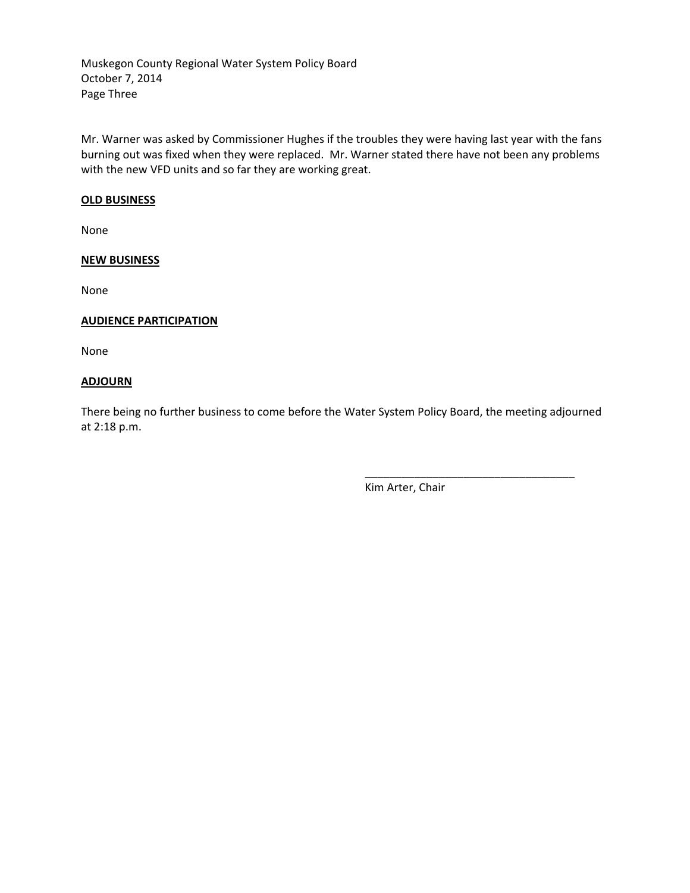Muskegon County Regional Water System Policy Board October 7, 2014 Page Three

Mr. Warner was asked by Commissioner Hughes if the troubles they were having last year with the fans burning out was fixed when they were replaced. Mr. Warner stated there have not been any problems with the new VFD units and so far they are working great.

# **OLD BUSINESS**

None

# **NEW BUSINESS**

None

# **AUDIENCE PARTICIPATION**

None

# **ADJOURN**

There being no further business to come before the Water System Policy Board, the meeting adjourned at 2:18 p.m.

Kim Arter, Chair

\_\_\_\_\_\_\_\_\_\_\_\_\_\_\_\_\_\_\_\_\_\_\_\_\_\_\_\_\_\_\_\_\_\_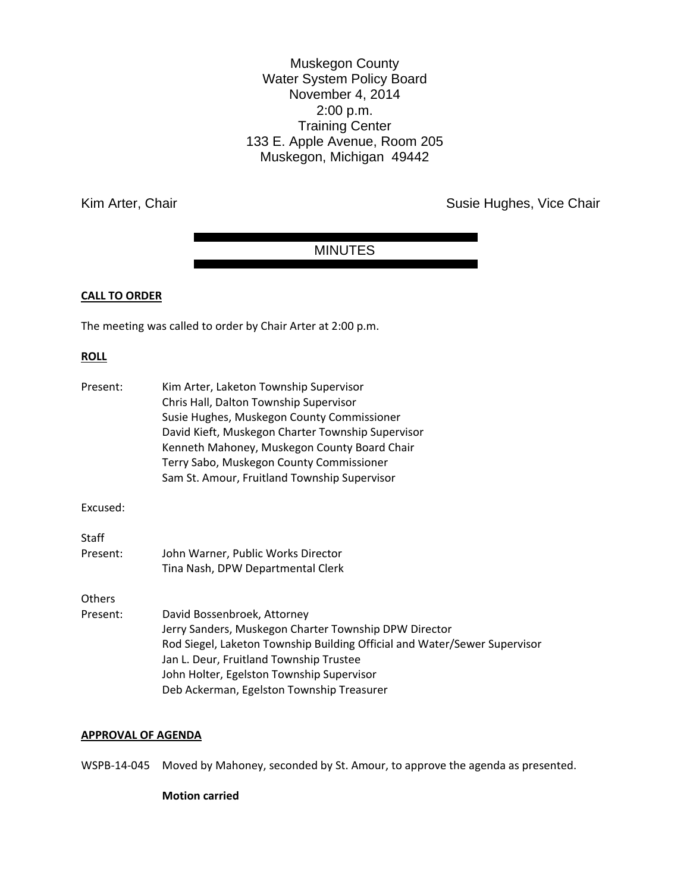Muskegon County Water System Policy Board November 4, 2014 2:00 p.m. Training Center 133 E. Apple Avenue, Room 205 Muskegon, Michigan 49442

Kim Arter, Chair **Susie Hughes, Vice Chair** Susie Hughes, Vice Chair

# MINUTES

# **CALL TO ORDER**

The meeting was called to order by Chair Arter at 2:00 p.m.

# **ROLL**

| Present: | Kim Arter, Laketon Township Supervisor                                    |
|----------|---------------------------------------------------------------------------|
|          | Chris Hall, Dalton Township Supervisor                                    |
|          | Susie Hughes, Muskegon County Commissioner                                |
|          | David Kieft, Muskegon Charter Township Supervisor                         |
|          | Kenneth Mahoney, Muskegon County Board Chair                              |
|          | Terry Sabo, Muskegon County Commissioner                                  |
|          | Sam St. Amour, Fruitland Township Supervisor                              |
| Excused: |                                                                           |
| Staff    |                                                                           |
| Present: | John Warner, Public Works Director                                        |
|          | Tina Nash, DPW Departmental Clerk                                         |
| Others   |                                                                           |
| Present: | David Bossenbroek, Attorney                                               |
|          | Jerry Sanders, Muskegon Charter Township DPW Director                     |
|          | Rod Siegel, Laketon Township Building Official and Water/Sewer Supervisor |
|          | Jan L. Deur, Fruitland Township Trustee                                   |
|          | John Holter, Egelston Township Supervisor                                 |
|          | Deb Ackerman, Egelston Township Treasurer                                 |
|          |                                                                           |

# **APPROVAL OF AGENDA**

WSPB-14-045 Moved by Mahoney, seconded by St. Amour, to approve the agenda as presented.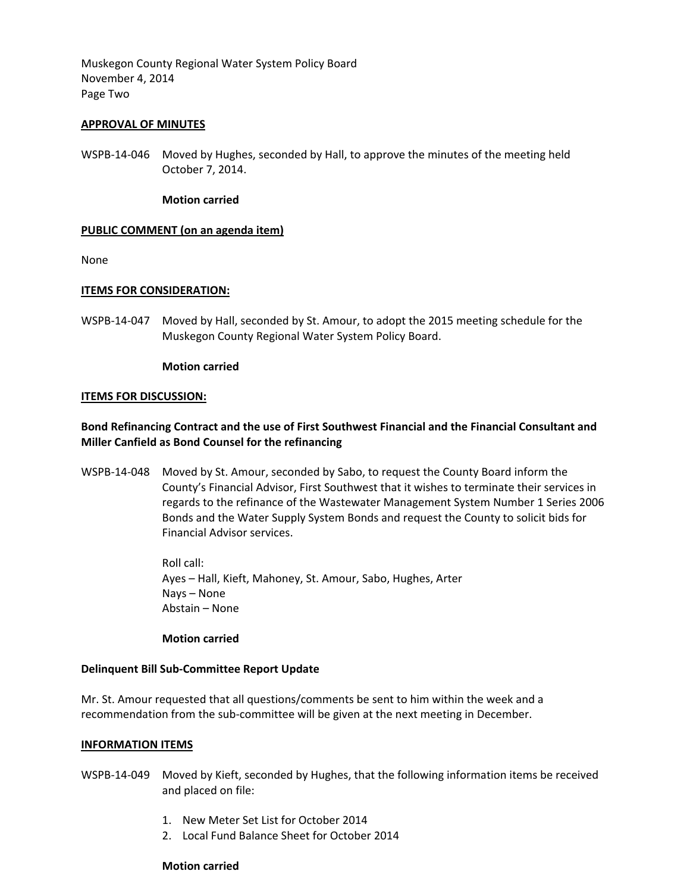Muskegon County Regional Water System Policy Board November 4, 2014 Page Two

# **APPROVAL OF MINUTES**

WSPB-14-046 Moved by Hughes, seconded by Hall, to approve the minutes of the meeting held October 7, 2014.

# **Motion carried**

# **PUBLIC COMMENT (on an agenda item)**

None

# **ITEMS FOR CONSIDERATION:**

WSPB-14-047 Moved by Hall, seconded by St. Amour, to adopt the 2015 meeting schedule for the Muskegon County Regional Water System Policy Board.

# **Motion carried**

# **ITEMS FOR DISCUSSION:**

# **Bond Refinancing Contract and the use of First Southwest Financial and the Financial Consultant and Miller Canfield as Bond Counsel for the refinancing**

WSPB-14-048 Moved by St. Amour, seconded by Sabo, to request the County Board inform the County's Financial Advisor, First Southwest that it wishes to terminate their services in regards to the refinance of the Wastewater Management System Number 1 Series 2006 Bonds and the Water Supply System Bonds and request the County to solicit bids for Financial Advisor services.

> Roll call: Ayes – Hall, Kieft, Mahoney, St. Amour, Sabo, Hughes, Arter Nays – None Abstain – None

# **Motion carried**

# **Delinquent Bill Sub-Committee Report Update**

Mr. St. Amour requested that all questions/comments be sent to him within the week and a recommendation from the sub-committee will be given at the next meeting in December.

# **INFORMATION ITEMS**

- WSPB-14-049 Moved by Kieft, seconded by Hughes, that the following information items be received and placed on file:
	- 1. New Meter Set List for October 2014
	- 2. Local Fund Balance Sheet for October 2014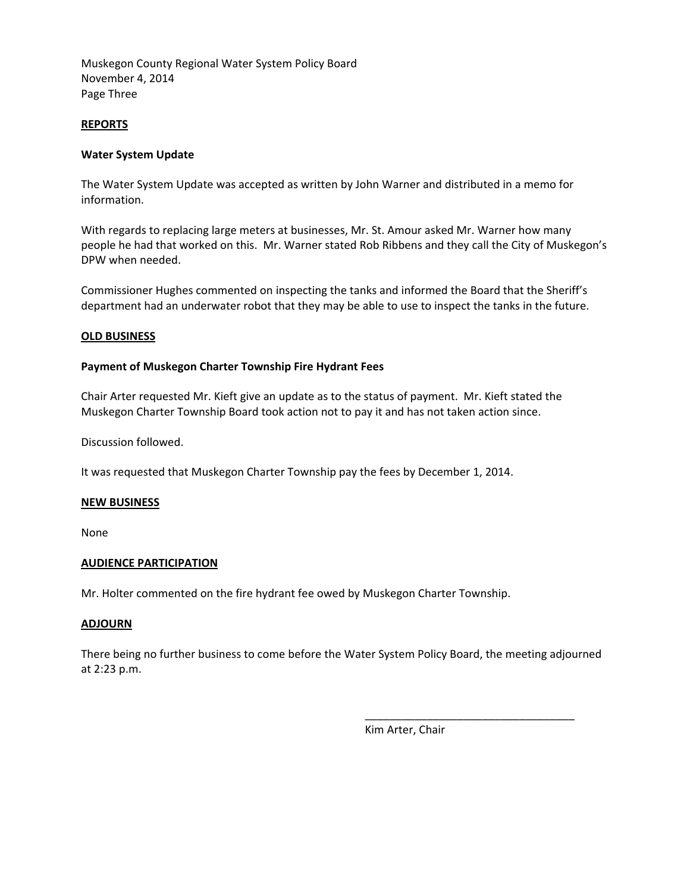Muskegon County Regional Water System Policy Board November 4, 2014 Page Three

# **REPORTS**

# **Water System Update**

The Water System Update was accepted as written by John Warner and distributed in a memo for information.

With regards to replacing large meters at businesses, Mr. St. Amour asked Mr. Warner how many people he had that worked on this. Mr. Warner stated Rob Ribbens and they call the City of Muskegon's DPW when needed.

Commissioner Hughes commented on inspecting the tanks and informed the Board that the Sheriff's department had an underwater robot that they may be able to use to inspect the tanks in the future.

# **OLD BUSINESS**

# **Payment of Muskegon Charter Township Fire Hydrant Fees**

Chair Arter requested Mr. Kieft give an update as to the status of payment. Mr. Kieft stated the Muskegon Charter Township Board took action not to pay it and has not taken action since.

Discussion followed.

It was requested that Muskegon Charter Township pay the fees by December 1, 2014.

# **NEW BUSINESS**

None

# **AUDIENCE PARTICIPATION**

Mr. Holter commented on the fire hydrant fee owed by Muskegon Charter Township.

# **ADJOURN**

There being no further business to come before the Water System Policy Board, the meeting adjourned at 2:23 p.m.

Kim Arter, Chair

\_\_\_\_\_\_\_\_\_\_\_\_\_\_\_\_\_\_\_\_\_\_\_\_\_\_\_\_\_\_\_\_\_\_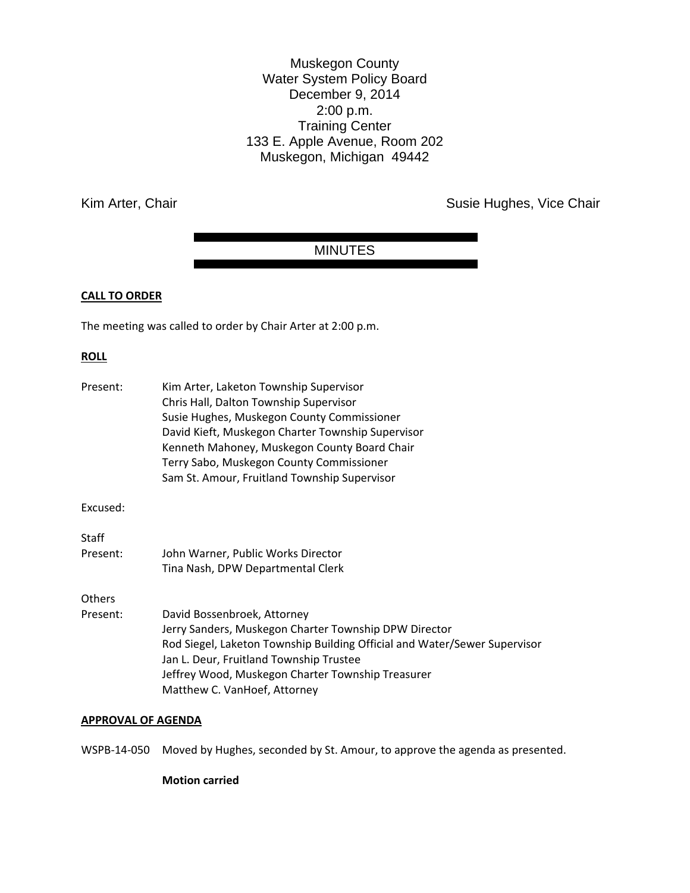Muskegon County Water System Policy Board December 9, 2014 2:00 p.m. Training Center 133 E. Apple Avenue, Room 202 Muskegon, Michigan 49442

Kim Arter, Chair **Susie Hughes, Vice Chair** Susie Hughes, Vice Chair

# MINUTES

# **CALL TO ORDER**

The meeting was called to order by Chair Arter at 2:00 p.m.

# **ROLL**

| Present: | Kim Arter, Laketon Township Supervisor                                    |
|----------|---------------------------------------------------------------------------|
|          | Chris Hall, Dalton Township Supervisor                                    |
|          | Susie Hughes, Muskegon County Commissioner                                |
|          | David Kieft, Muskegon Charter Township Supervisor                         |
|          | Kenneth Mahoney, Muskegon County Board Chair                              |
|          | Terry Sabo, Muskegon County Commissioner                                  |
|          | Sam St. Amour, Fruitland Township Supervisor                              |
| Excused: |                                                                           |
| Staff    |                                                                           |
| Present: | John Warner, Public Works Director                                        |
|          | Tina Nash, DPW Departmental Clerk                                         |
| Others   |                                                                           |
| Present: | David Bossenbroek, Attorney                                               |
|          | Jerry Sanders, Muskegon Charter Township DPW Director                     |
|          | Rod Siegel, Laketon Township Building Official and Water/Sewer Supervisor |
|          | Jan L. Deur, Fruitland Township Trustee                                   |
|          | Jeffrey Wood, Muskegon Charter Township Treasurer                         |
|          | Matthew C. VanHoef, Attorney                                              |
|          |                                                                           |

# **APPROVAL OF AGENDA**

WSPB-14-050 Moved by Hughes, seconded by St. Amour, to approve the agenda as presented.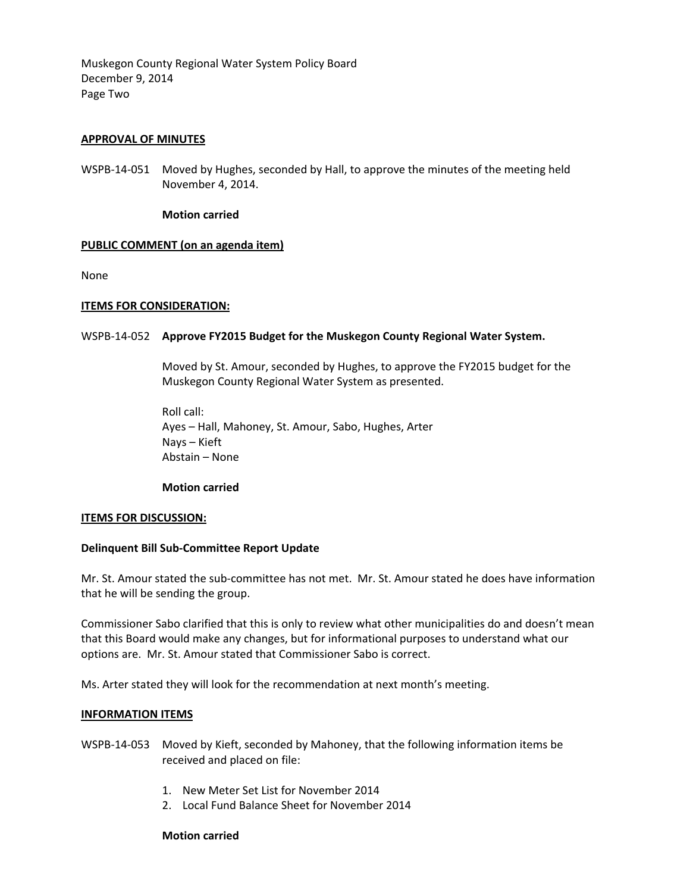Muskegon County Regional Water System Policy Board December 9, 2014 Page Two

# **APPROVAL OF MINUTES**

WSPB-14-051 Moved by Hughes, seconded by Hall, to approve the minutes of the meeting held November 4, 2014.

#### **Motion carried**

# **PUBLIC COMMENT (on an agenda item)**

None

#### **ITEMS FOR CONSIDERATION:**

#### WSPB-14-052 **Approve FY2015 Budget for the Muskegon County Regional Water System.**

Moved by St. Amour, seconded by Hughes, to approve the FY2015 budget for the Muskegon County Regional Water System as presented.

Roll call: Ayes – Hall, Mahoney, St. Amour, Sabo, Hughes, Arter Nays – Kieft Abstain – None

#### **Motion carried**

#### **ITEMS FOR DISCUSSION:**

# **Delinquent Bill Sub-Committee Report Update**

Mr. St. Amour stated the sub-committee has not met. Mr. St. Amour stated he does have information that he will be sending the group.

Commissioner Sabo clarified that this is only to review what other municipalities do and doesn't mean that this Board would make any changes, but for informational purposes to understand what our options are. Mr. St. Amour stated that Commissioner Sabo is correct.

Ms. Arter stated they will look for the recommendation at next month's meeting.

#### **INFORMATION ITEMS**

WSPB-14-053 Moved by Kieft, seconded by Mahoney, that the following information items be received and placed on file:

- 1. New Meter Set List for November 2014
- 2. Local Fund Balance Sheet for November 2014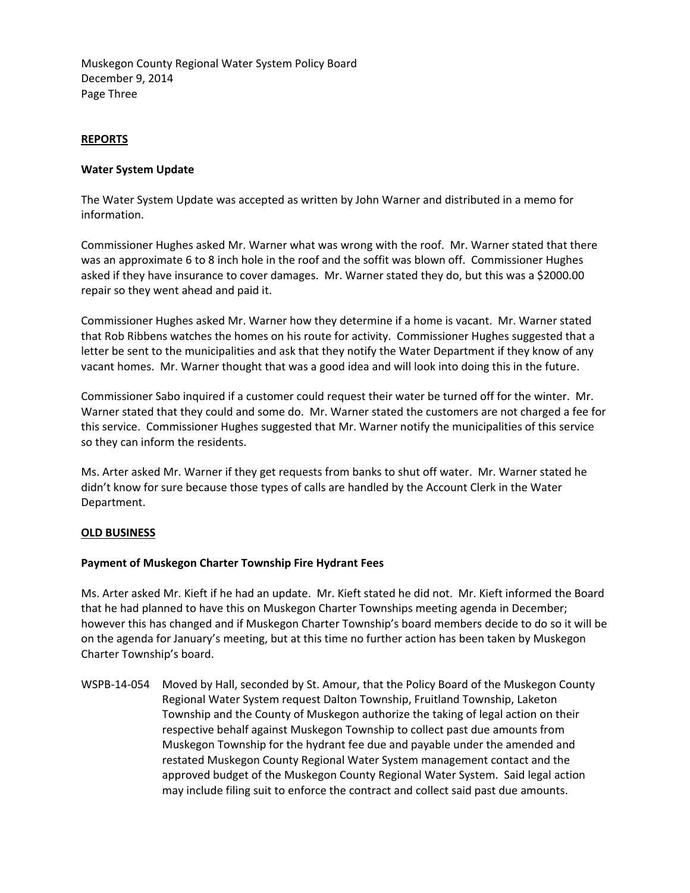Muskegon County Regional Water System Policy Board December 9, 2014 Page Three

# **REPORTS**

# **Water System Update**

The Water System Update was accepted as written by John Warner and distributed in a memo for information.

Commissioner Hughes asked Mr. Warner what was wrong with the roof. Mr. Warner stated that there was an approximate 6 to 8 inch hole in the roof and the soffit was blown off. Commissioner Hughes asked if they have insurance to cover damages. Mr. Warner stated they do, but this was a \$2000.00 repair so they went ahead and paid it.

Commissioner Hughes asked Mr. Warner how they determine if a home is vacant. Mr. Warner stated that Rob Ribbens watches the homes on his route for activity. Commissioner Hughes suggested that a letter be sent to the municipalities and ask that they notify the Water Department if they know of any vacant homes. Mr. Warner thought that was a good idea and will look into doing this in the future.

Commissioner Sabo inquired if a customer could request their water be turned off for the winter. Mr. Warner stated that they could and some do. Mr. Warner stated the customers are not charged a fee for this service. Commissioner Hughes suggested that Mr. Warner notify the municipalities of this service so they can inform the residents.

Ms. Arter asked Mr. Warner if they get requests from banks to shut off water. Mr. Warner stated he didn't know for sure because those types of calls are handled by the Account Clerk in the Water Department.

# **OLD BUSINESS**

# **Payment of Muskegon Charter Township Fire Hydrant Fees**

Ms. Arter asked Mr. Kieft if he had an update. Mr. Kieft stated he did not. Mr. Kieft informed the Board that he had planned to have this on Muskegon Charter Townships meeting agenda in December; however this has changed and if Muskegon Charter Township's board members decide to do so it will be on the agenda for January's meeting, but at this time no further action has been taken by Muskegon Charter Township's board.

WSPB-14-054 Moved by Hall, seconded by St. Amour, that the Policy Board of the Muskegon County Regional Water System request Dalton Township, Fruitland Township, Laketon Township and the County of Muskegon authorize the taking of legal action on their respective behalf against Muskegon Township to collect past due amounts from Muskegon Township for the hydrant fee due and payable under the amended and restated Muskegon County Regional Water System management contact and the approved budget of the Muskegon County Regional Water System. Said legal action may include filing suit to enforce the contract and collect said past due amounts.